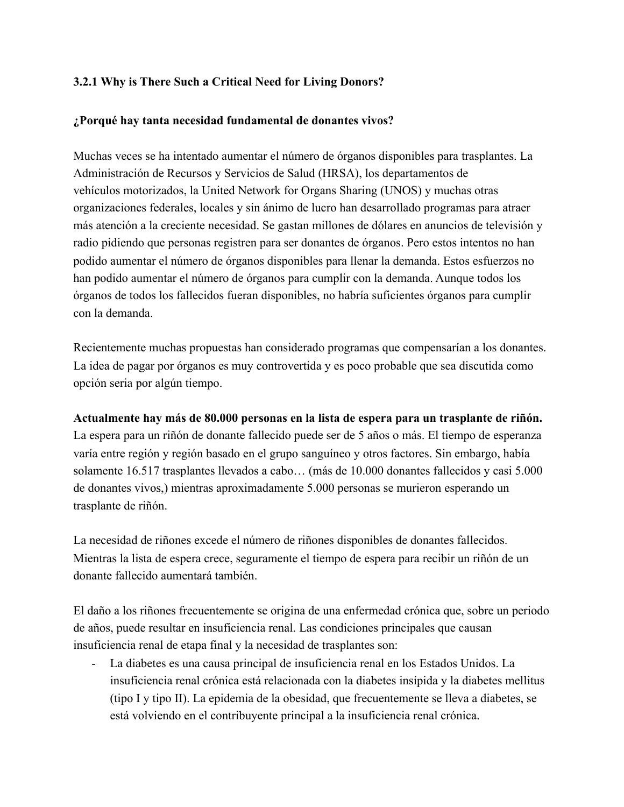## **3.2.1 Why is There Such a Critical Need for Living Donors?**

## **¿Porqué hay tanta necesidad fundamental de donantes vivos?**

Muchas veces se ha intentado aumentar el número de órganos disponibles para trasplantes. La Administración de Recursos y Servicios de Salud (HRSA), los departamentos de vehículos motorizados, la United Network for Organs Sharing (UNOS) y muchas otras organizaciones federales, locales y sin ánimo de lucro han desarrollado programas para atraer más atención a la creciente necesidad. Se gastan millones de dólares en anuncios de televisión y radio pidiendo que personas registren para ser donantes de órganos. Pero estos intentos no han podido aumentar el número de órganos disponibles para llenar la demanda. Estos esfuerzos no han podido aumentar el número de órganos para cumplir con la demanda. Aunque todos los órganos de todos los fallecidos fueran disponibles, no habría suficientes órganos para cumplir con la demanda.

Recientemente muchas propuestas han considerado programas que compensarían a los donantes. La idea de pagar por órganos es muy controvertida y es poco probable que sea discutida como opción seria por algún tiempo.

## **Actualmente hay más de 80.000 personas en la lista de espera para un trasplante de riñón.**

La espera para un riñón de donante fallecido puede ser de 5 años o más. El tiempo de esperanza varía entre región y región basado en el grupo sanguíneo y otros factores. Sin embargo, había solamente 16.517 trasplantes llevados a cabo… (más de 10.000 donantes fallecidos y casi 5.000 de donantes vivos,) mientras aproximadamente 5.000 personas se murieron esperando un trasplante de riñón.

La necesidad de riñones excede el número de riñones disponibles de donantes fallecidos. Mientras la lista de espera crece, seguramente el tiempo de espera para recibir un riñón de un donante fallecido aumentará también.

El daño a los riñones frecuentemente se origina de una enfermedad crónica que, sobre un periodo de años, puede resultar en insuficiencia renal. Las condiciones principales que causan insuficiencia renal de etapa final y la necesidad de trasplantes son:

- La diabetes es una causa principal de insuficiencia renal en los Estados Unidos. La insuficiencia renal crónica está relacionada con la diabetes insípida y la diabetes mellitus (tipo I y tipo II). La epidemia de la obesidad, que frecuentemente se lleva a diabetes, se está volviendo en el contribuyente principal a la insuficiencia renal crónica.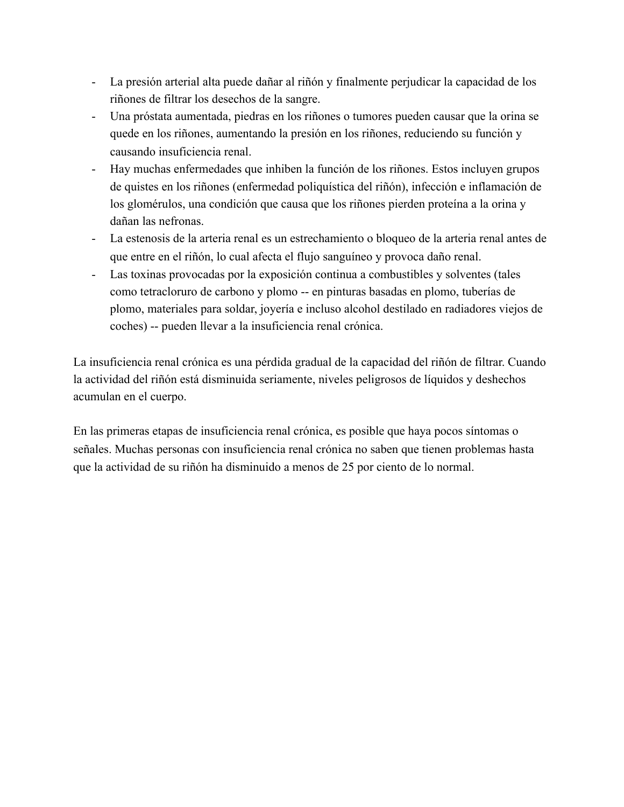- La presión arterial alta puede dañar al riñón y finalmente perjudicar la capacidad de los riñones de filtrar los desechos de la sangre.
- Una próstata aumentada, piedras en los riñones o tumores pueden causar que la orina se quede en los riñones, aumentando la presión en los riñones, reduciendo su función y causando insuficiencia renal.
- Hay muchas enfermedades que inhiben la función de los riñones. Estos incluyen grupos de quistes en los riñones (enfermedad poliquística del riñón), infección e inflamación de los glomérulos, una condición que causa que los riñones pierden proteína a la orina y dañan las nefronas.
- La estenosis de la arteria renal es un estrechamiento o bloqueo de la arteria renal antes de que entre en el riñón, lo cual afecta el flujo sanguíneo y provoca daño renal.
- Las toxinas provocadas por la exposición continua a combustibles y solventes (tales como tetracloruro de carbono y plomo -- en pinturas basadas en plomo, tuberías de plomo, materiales para soldar, joyería e incluso alcohol destilado en radiadores viejos de coches) -- pueden llevar a la insuficiencia renal crónica.

La insuficiencia renal crónica es una pérdida gradual de la capacidad del riñón de filtrar. Cuando la actividad del riñón está disminuida seriamente, niveles peligrosos de líquidos y deshechos acumulan en el cuerpo.

En las primeras etapas de insuficiencia renal crónica, es posible que haya pocos síntomas o señales. Muchas personas con insuficiencia renal crónica no saben que tienen problemas hasta que la actividad de su riñón ha disminuido a menos de 25 por ciento de lo normal.